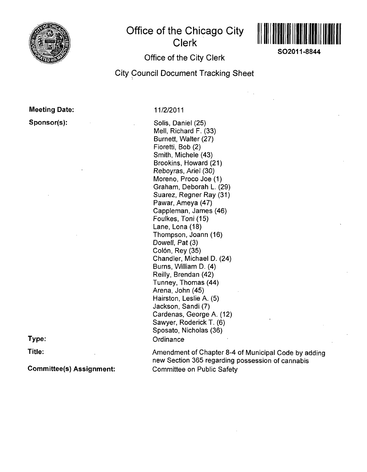

# **Office of the Chicago City Clerk**



**SO2011-8844** 

## **Office of the City Clerk**

## **City Council Document Tracking Sheet**

**Meeting Date:** 

**Sponsor(s):** 

**11/2/2011** 

Solis, Daniel (25) Mell, Richard F. (33) Burnett, Walter (27) Fioretti, Bob (2) Smith, Michele (43) Brookins, Howard (21) Reboyras, Ariel (30) Moreno, Proco Joe (1) Graham, Deborah L. (29) Suarez, Regner Ray (31) Pawar, Ameya (47) Cappleman, James (46) Foulkes, Toni (15) Lane, Lona (18) Thompson, Joann (16) Dowell, Pat (3) Colón, Rey (35) Chandler, Michael D. (24) Burns, William D. (4) Reilly, Brendan (42) Tunney, Thomas (44) Arena, John (45) Hairston, Leslie A. (5) Jackson, Sandi (7) Cardenas, George A. (12) Sawyer, Roderick T. (6) Sposato, Nicholas (36) **Ordinance** 

**Type:** 

**Title:** 

**Committee(s) Assignment:** 

Amendment of Chapter 8-4 of Municipal Code by adding new Section 365 regarding possession of cannabis Committee on Public Safety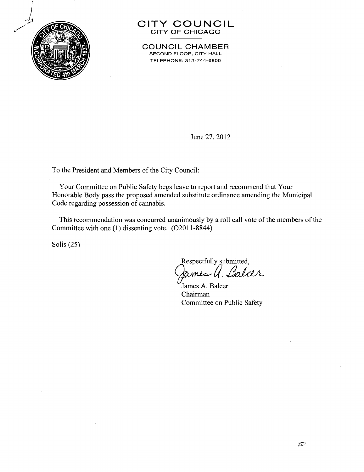

## **CIT Y COUNCI L**  CITY OF CHICAGO

**COUNCIL CHAMBER** SECOND FLOOR, CITY HALL TELEPHONE: 312-744-6800

June 27, 2012

To the President and Members of the City Council:

Your Committee on Public Safety begs leave to report and recommend that Your Honorable Body pass the proposed amended substitute ordinance amending the Municipal Code regarding possession of cannabis.

This recommendation was concurred unanimously by a roll call vote of the members of the Committee with one (1) dissenting vote. (O2011 -8844)

Solis (25)

Respectfully submitted,<br>James Q. Balcer mes

James A. Balcer Chairman Committee on Public Safety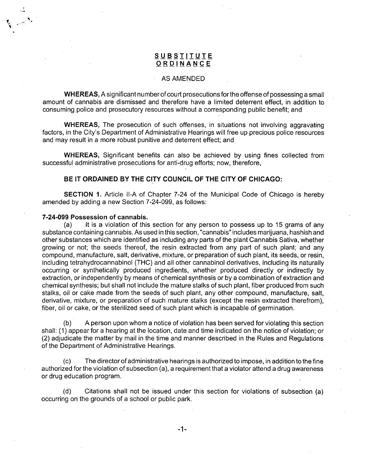### **SUBSIIIUT E ORDINANC E**

### AS AMENDED

WHEREAS, A significant number of court prosecutions for the offense of possessing a small amount of cannabis are dismissed and therefore have a limited deterrent effect, in addition to consuming police and prosecutory resources without a corresponding public benefit; and

WHEREAS, The prosecution of such offenses, in situations not involving aggravating factors, in the City's Department of Administrative Hearings will free up precious police resources and may result in a more robust punitive and deterrent effect; and

WHEREAS, Significant benefits can also be achieved by using fines collected from successful administrative prosecutions for anti-drug efforts; now, therefore,

### **BE IT ORDAINED BY THE CITY COUNCIL OF THE CITY OF CHICAGO:**

SECTION 1. Article ll-A of Chapter 7-24 of the Municipal Code of Chicago is hereby amended by adding a new Section 7-24-099, as follows:

#### **7-24-099 Possession of cannabis.**

**1. V** 

> (a) It is a violation of this section for any person to possess up to 15 grams of any substance containing cannabis. As used in this section, "cannabis" includes marijuana, hashish and other substances which are identified as including any parts of the plant Cannabis Sativa, whether growing or not; the seeds thereof, the resin extracted from any part of such plant; and any compound, manufacture, salt, derivative, mixture, or preparation of such plant, its seeds, or resin, including tetrahydrocannabinol (THC) and all other cannabinol derivatives, including its naturally occurring or synthetically produced ingredients, whether produced directly or indirectly by extraction, or independently by means of chemical synthesis or by a combination of extraction and chemical synthesis; but shall not include the mature stalks of such plant, fiber produced from such stalks, oil or cake made from the seeds of such plant, any other compound, manufacture, salt, derivative, mixture, or preparation of such mature stalks (except the resin extracted therefrom), fiber, oil or cake, or the sterilized seed of such plant which is incapable of germination.

> (b) A person upon whom a notice of violation has been served for violating this section shall: (1) appear for a hearing at the location, date and time indicated on the notice of violation; or (2) adjudicate the matter by mail in the time and manner described in the Rules and Regulations of the Department of Administrative Hearings.

> (c) The director of administrative hearings is authorized to impose, in addition to the fine authorized for the violation of subsection (a), a requirement that a violator attend a drug awareness or drug education program.

> (d) Citations shall not be issued under this section for violations of subsection (a) occurring on the grounds of a school or public park.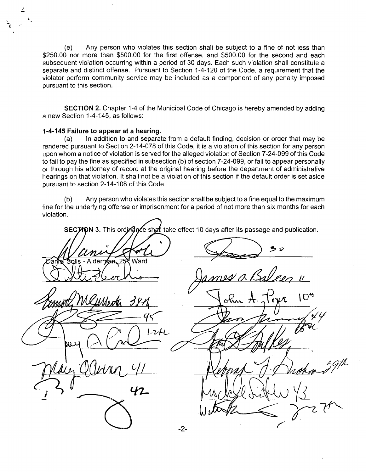(e) Any person who violates this section shall be subject to a fine of not less than \$250.00 nor more than \$500.00 for the first offense, and \$500.00 for the second and each subsequent violation occurring within a period of 30 days. Each such violation shall constitute a separate and distinct offense. Pursuant to Section 1-4-120 of the Code, a requirement that the violator perform community service may be included as a component of any penalty imposed pursuant to this section.

**SECTION 2.** Chapter 1-4 of the Municipal Code of Chicago is hereby amended by adding a new Section 1-4-145, as follows:

### **1-4-145 Failure to appear at a hearing.**

(a) In addition to and separate from a default finding, decision or order that may be rendered pursuant to Section 2-14-078 of this Code, it is a violation of this section for any person upon whom a notice of violation is served for the alleged violation of Section 7-24-099 of this Code to fail to pay the fine as specified in subsection (b) of section 7-24-099, or fail to appear personally or through his attorney of record at the original hearing before the department of administrative hearings on that violation. It shall not be a violation of this section if the default order is set aside pursuant to section 2-14-108 of this Code.

(b) Any person who violates this section shall be subject to a fine equal to the maximum fine for the underlying offense or imprisonment for a period of not more than six months for each violation.

SECTION 3. This ordinarce shall take effect 10 days after its passage and publication. Ward I O\*  $=$   $45$  $1.24$ 42  $-2-$